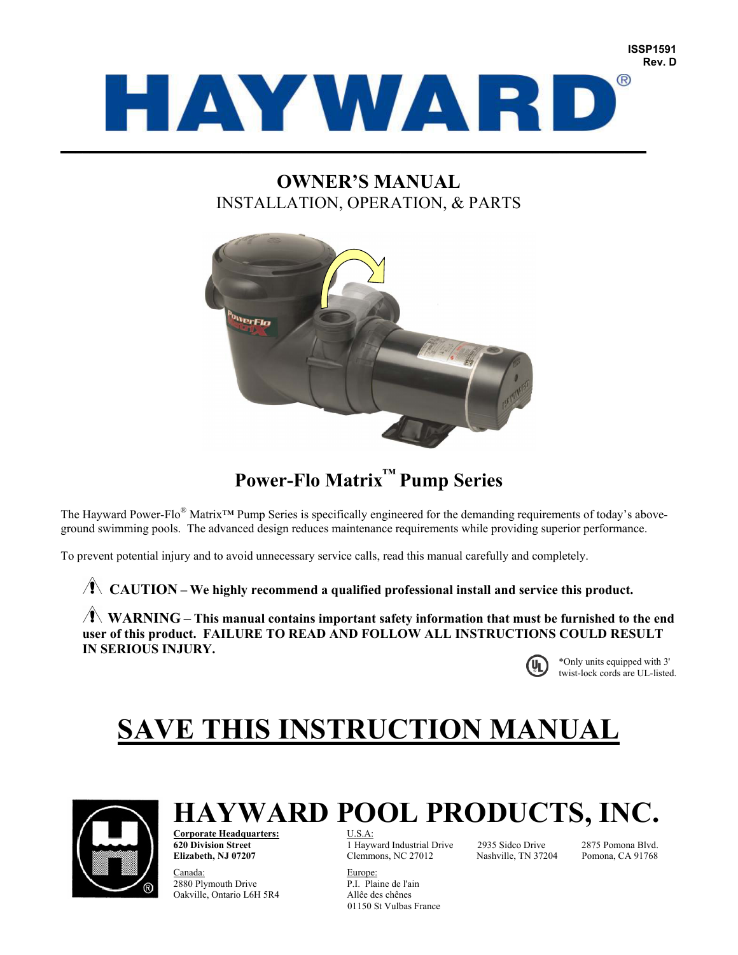

## **OWNER'S MANUAL**  INSTALLATION, OPERATION, & PARTS



## **Power-Flo Matrix™ Pump Series**

The Hayward Power-Flo® Matrix™ Pump Series is specifically engineered for the demanding requirements of today's aboveground swimming pools. The advanced design reduces maintenance requirements while providing superior performance.

To prevent potential injury and to avoid unnecessary service calls, read this manual carefully and completely.

**CAUTION** – We highly recommend a qualified professional install and service this product.

**WARNING** – This manual contains important safety information that must be furnished to the end **user of this product. FAILURE TO READ AND FOLLOW ALL INSTRUCTIONS COULD RESULT IN SERIOUS INJURY.** 



\*Only units equipped with 3'  $\bigoplus$  \*Only units equipped with 3'<br>twist-lock cords are UL-listed.

# **SAVE THIS INSTRUCTION MANUAL**



# **HAYWARD POOL PRODUCTS, INC.**

**Corporate Headquarters:** U.S.A:

Europe:<br>
2880 Plymouth Drive<br>
2880 Plymouth Drive<br>
2880 Plymouth Drive 2880 Plymouth Drive Oakville, Ontario L6H 5R4 Allêe des chênes

**620 Division Street** 1 Hayward Industrial Drive 2935 Sidco Drive 2875 Pomona Blvd. **Elizabeth, NJ 07207** Clemmons, NC 27012 Nashville, TN 37204 Pomona, CA 91768

01150 St Vulbas France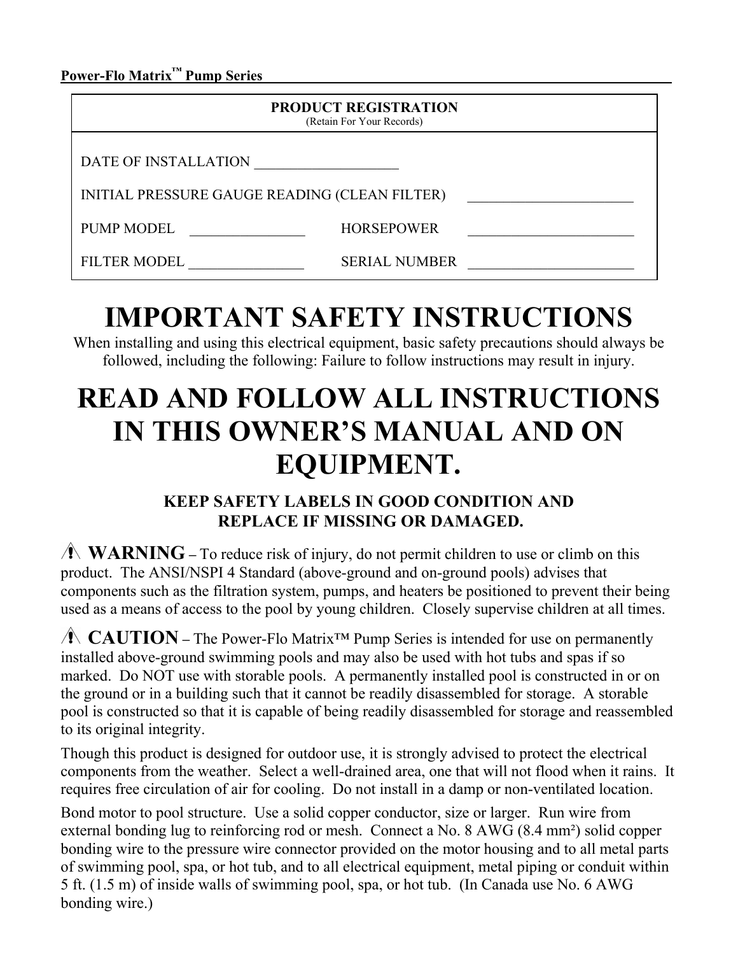**Power-Flo Matrix™ Pump Series \_\_\_\_\_\_\_\_\_\_\_\_\_\_\_\_\_\_\_\_**

|                                               | <b>PRODUCT REGISTRATION</b><br>(Retain For Your Records) |  |
|-----------------------------------------------|----------------------------------------------------------|--|
| DATE OF INSTALLATION                          |                                                          |  |
| INITIAL PRESSURE GAUGE READING (CLEAN FILTER) |                                                          |  |
| <b>PUMP MODEL</b>                             | <b>HORSEPOWER</b>                                        |  |
| <b>FILTER MODEL</b>                           | <b>SERIAL NUMBER</b>                                     |  |

# **IMPORTANT SAFETY INSTRUCTIONS**

When installing and using this electrical equipment, basic safety precautions should always be followed, including the following: Failure to follow instructions may result in injury.

# **READ AND FOLLOW ALL INSTRUCTIONS IN THIS OWNER'S MANUAL AND ON EQUIPMENT.**

## **KEEP SAFETY LABELS IN GOOD CONDITION AND REPLACE IF MISSING OR DAMAGED.**

**WARNING** – To reduce risk of injury, do not permit children to use or climb on this product. The ANSI/NSPI 4 Standard (above-ground and on-ground pools) advises that components such as the filtration system, pumps, and heaters be positioned to prevent their being used as a means of access to the pool by young children. Closely supervise children at all times.

 **CAUTION –** The Power-Flo Matrix™ Pump Series is intended for use on permanently installed above-ground swimming pools and may also be used with hot tubs and spas if so marked. Do NOT use with storable pools. A permanently installed pool is constructed in or on the ground or in a building such that it cannot be readily disassembled for storage. A storable pool is constructed so that it is capable of being readily disassembled for storage and reassembled to its original integrity.

Though this product is designed for outdoor use, it is strongly advised to protect the electrical components from the weather. Select a well-drained area, one that will not flood when it rains. It requires free circulation of air for cooling. Do not install in a damp or non-ventilated location.

Bond motor to pool structure. Use a solid copper conductor, size or larger. Run wire from external bonding lug to reinforcing rod or mesh. Connect a No. 8 AWG (8.4 mm²) solid copper bonding wire to the pressure wire connector provided on the motor housing and to all metal parts of swimming pool, spa, or hot tub, and to all electrical equipment, metal piping or conduit within 5 ft. (1.5 m) of inside walls of swimming pool, spa, or hot tub. (In Canada use No. 6 AWG bonding wire.)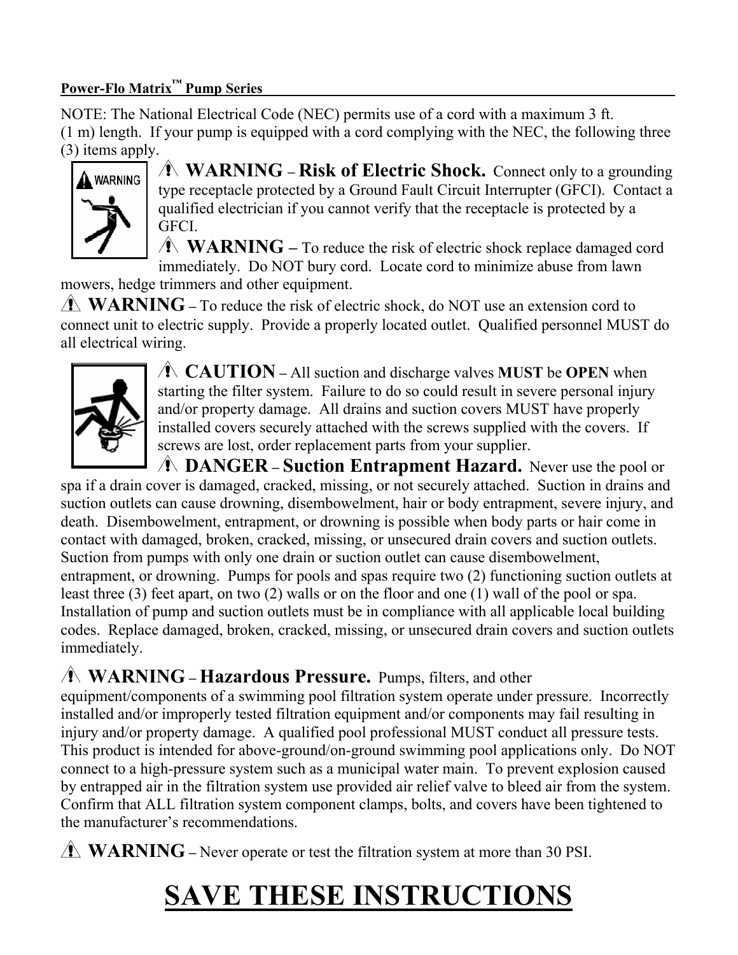## **Power-Flo Matrix™ Pump Series \_\_\_\_\_\_\_\_\_\_ \_\_\_\_\_\_\_\_\_\_\_\_\_\_\_\_\_\_\_\_\_\_\_\_**

NOTE: The National Electrical Code (NEC) permits use of a cord with a maximum 3 ft. (1 m) length. If your pump is equipped with a cord complying with the NEC, the following three (3) items apply.



 **WARNING – Risk of Electric Shock.** Connect only to a grounding type receptacle protected by a Ground Fault Circuit Interrupter (GFCI). Contact a qualified electrician if you cannot verify that the receptacle is protected by a GFCI.

**WARNING** – To reduce the risk of electric shock replace damaged cord immediately. Do NOT bury cord. Locate cord to minimize abuse from lawn

mowers, hedge trimmers and other equipment.

**WARNING** – To reduce the risk of electric shock, do NOT use an extension cord to connect unit to electric supply. Provide a properly located outlet. Qualified personnel MUST do all electrical wiring.



 **CAUTION –** All suction and discharge valves **MUST** be **OPEN** when starting the filter system. Failure to do so could result in severe personal injury and/or property damage. All drains and suction covers MUST have properly installed covers securely attached with the screws supplied with the covers. If screws are lost, order replacement parts from your supplier.

 **DANGER – Suction Entrapment Hazard.** Never use the pool or spa if a drain cover is damaged, cracked, missing, or not securely attached. Suction in drains and suction outlets can cause drowning, disembowelment, hair or body entrapment, severe injury, and death. Disembowelment, entrapment, or drowning is possible when body parts or hair come in contact with damaged, broken, cracked, missing, or unsecured drain covers and suction outlets. Suction from pumps with only one drain or suction outlet can cause disembowelment, entrapment, or drowning. Pumps for pools and spas require two (2) functioning suction outlets at least three (3) feet apart, on two (2) walls or on the floor and one (1) wall of the pool or spa. Installation of pump and suction outlets must be in compliance with all applicable local building codes. Replace damaged, broken, cracked, missing, or unsecured drain covers and suction outlets immediately.

## **WARNING – Hazardous Pressure.** Pumps, filters, and other

equipment/components of a swimming pool filtration system operate under pressure. Incorrectly installed and/or improperly tested filtration equipment and/or components may fail resulting in injury and/or property damage. A qualified pool professional MUST conduct all pressure tests. This product is intended for above-ground/on-ground swimming pool applications only. Do NOT connect to a high-pressure system such as a municipal water main. To prevent explosion caused by entrapped air in the filtration system use provided air relief valve to bleed air from the system. Confirm that ALL filtration system component clamps, bolts, and covers have been tightened to the manufacturer's recommendations.

**WARNING** – Never operate or test the filtration system at more than 30 PSI.

# **SAVE THESE INSTRUCTIONS**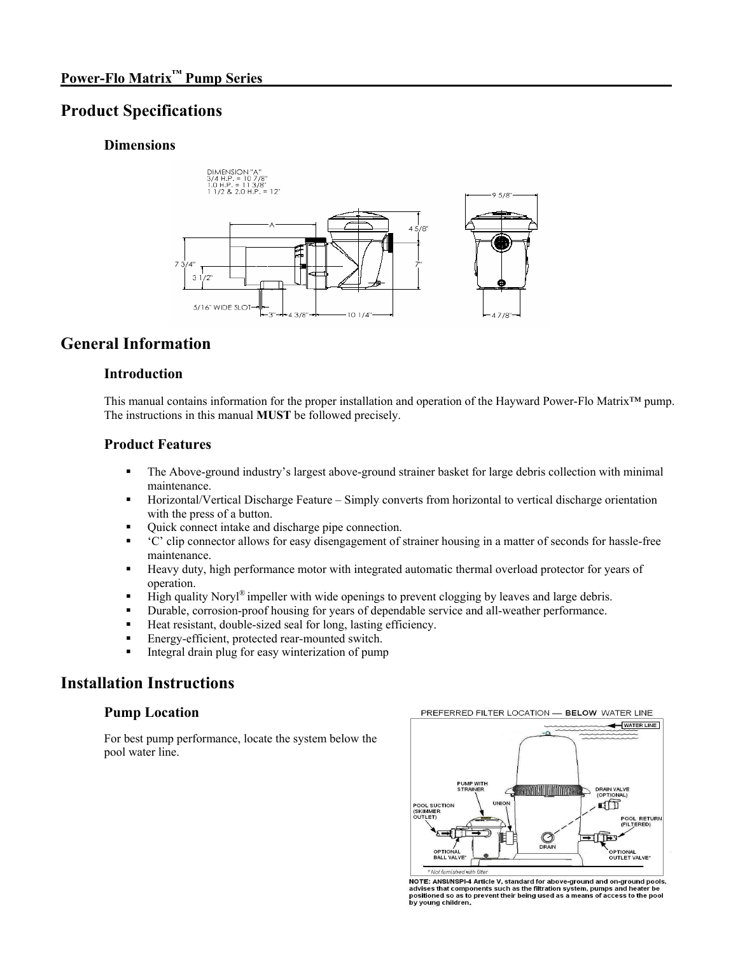## **Product Specifications**

#### **Dimensions**



## **General Information**

#### **Introduction**

This manual contains information for the proper installation and operation of the Hayward Power-Flo Matrix™ pump. The instructions in this manual **MUST** be followed precisely.

#### **Product Features**

- The Above-ground industry's largest above-ground strainer basket for large debris collection with minimal maintenance.
- Horizontal/Vertical Discharge Feature Simply converts from horizontal to vertical discharge orientation with the press of a button.
- Quick connect intake and discharge pipe connection.
- 'C' clip connector allows for easy disengagement of strainer housing in a matter of seconds for hassle-free maintenance.
- Heavy duty, high performance motor with integrated automatic thermal overload protector for years of operation.
- High quality Noryl<sup>®</sup> impeller with wide openings to prevent clogging by leaves and large debris.
- Durable, corrosion-proof housing for years of dependable service and all-weather performance.
- Heat resistant, double-sized seal for long, lasting efficiency.
- **Energy-efficient, protected rear-mounted switch.**
- Integral drain plug for easy winterization of pump

## **Installation Instructions**

#### **Pump Location**

For best pump performance, locate the system below the pool water line.



NOTE: ANSI/NSPI-4 Article V, standard for above-ground and on-ground pools, advises that components such as the filtration system, pumps and heater be positioned so as to prevent their being used as a means of access to th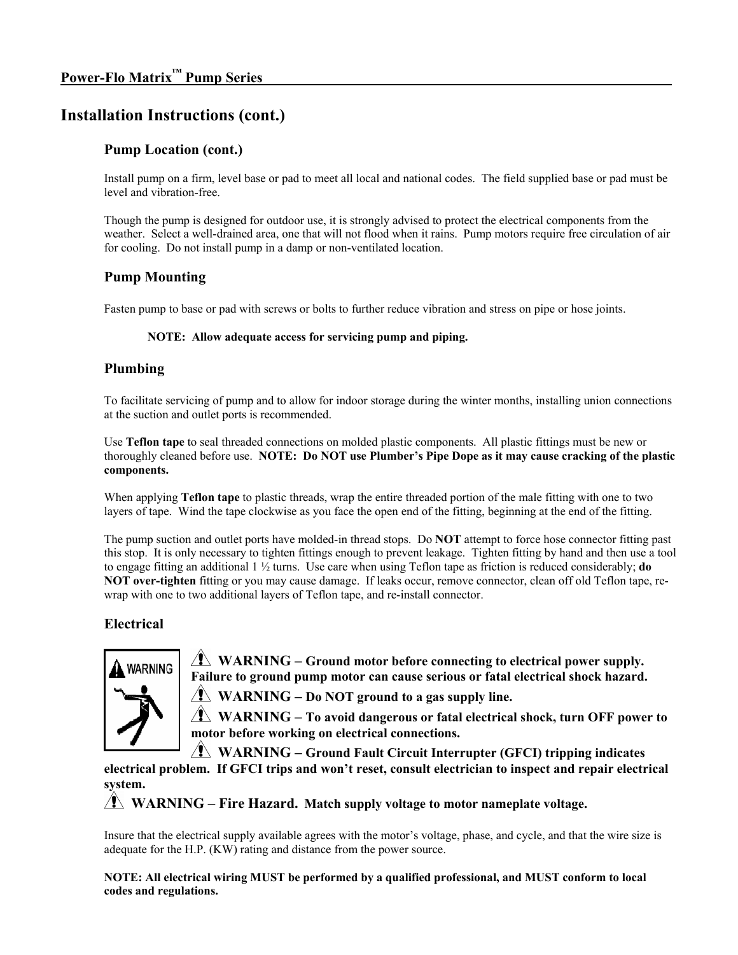## **Installation Instructions (cont.)**

### **Pump Location (cont.)**

Install pump on a firm, level base or pad to meet all local and national codes. The field supplied base or pad must be level and vibration-free.

Though the pump is designed for outdoor use, it is strongly advised to protect the electrical components from the weather. Select a well-drained area, one that will not flood when it rains. Pump motors require free circulation of air for cooling. Do not install pump in a damp or non-ventilated location.

### **Pump Mounting**

Fasten pump to base or pad with screws or bolts to further reduce vibration and stress on pipe or hose joints.

#### **NOTE: Allow adequate access for servicing pump and piping.**

#### **Plumbing**

To facilitate servicing of pump and to allow for indoor storage during the winter months, installing union connections at the suction and outlet ports is recommended.

Use **Teflon tape** to seal threaded connections on molded plastic components. All plastic fittings must be new or thoroughly cleaned before use. **NOTE: Do NOT use Plumber's Pipe Dope as it may cause cracking of the plastic components.** 

When applying **Teflon tape** to plastic threads, wrap the entire threaded portion of the male fitting with one to two layers of tape. Wind the tape clockwise as you face the open end of the fitting, beginning at the end of the fitting.

The pump suction and outlet ports have molded-in thread stops. Do **NOT** attempt to force hose connector fitting past this stop. It is only necessary to tighten fittings enough to prevent leakage. Tighten fitting by hand and then use a tool to engage fitting an additional 1 ½ turns. Use care when using Teflon tape as friction is reduced considerably; **do NOT over-tighten** fitting or you may cause damage. If leaks occur, remove connector, clean off old Teflon tape, rewrap with one to two additional layers of Teflon tape, and re-install connector.

## **Electrical**



 $\sqrt{\mathbf{N}}$  WARNING – Ground motor before connecting to electrical power supply. **Failure to ground pump motor can cause serious or fatal electrical shock hazard.** 

**WARNING – Do NOT ground to a gas supply line.**

 **WARNING – To avoid dangerous or fatal electrical shock, turn OFF power to motor before working on electrical connections.**

**WARNING – Ground Fault Circuit Interrupter (GFCI) tripping indicates** 

**electrical problem. If GFCI trips and won't reset, consult electrician to inspect and repair electrical system.**

**WARNING** – **Fire Hazard. Match supply voltage to motor nameplate voltage.** 

Insure that the electrical supply available agrees with the motor's voltage, phase, and cycle, and that the wire size is adequate for the H.P. (KW) rating and distance from the power source.

**NOTE: All electrical wiring MUST be performed by a qualified professional, and MUST conform to local codes and regulations.**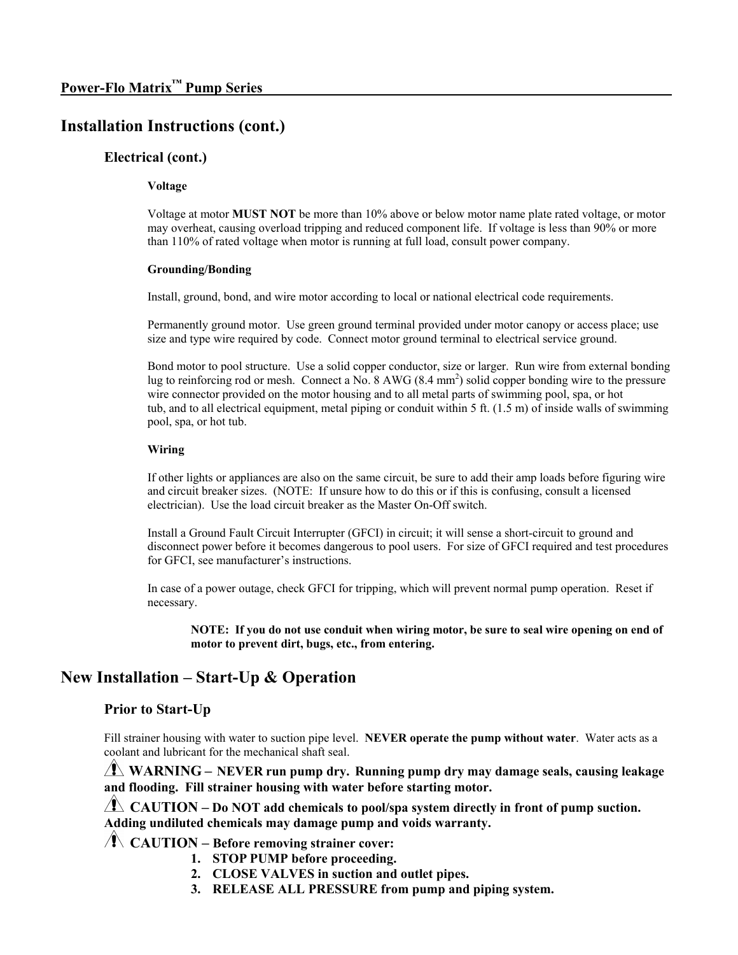## **Installation Instructions (cont.)**

#### **Electrical (cont.)**

#### **Voltage**

Voltage at motor **MUST NOT** be more than 10% above or below motor name plate rated voltage, or motor may overheat, causing overload tripping and reduced component life. If voltage is less than 90% or more than 110% of rated voltage when motor is running at full load, consult power company.

#### **Grounding/Bonding**

Install, ground, bond, and wire motor according to local or national electrical code requirements.

Permanently ground motor. Use green ground terminal provided under motor canopy or access place; use size and type wire required by code. Connect motor ground terminal to electrical service ground.

Bond motor to pool structure. Use a solid copper conductor, size or larger. Run wire from external bonding lug to reinforcing rod or mesh. Connect a No. 8 AWG (8.4 mm<sup>2</sup>) solid copper bonding wire to the pressure wire connector provided on the motor housing and to all metal parts of swimming pool, spa, or hot tub, and to all electrical equipment, metal piping or conduit within 5 ft. (1.5 m) of inside walls of swimming pool, spa, or hot tub.

#### **Wiring**

If other lights or appliances are also on the same circuit, be sure to add their amp loads before figuring wire and circuit breaker sizes. (NOTE: If unsure how to do this or if this is confusing, consult a licensed electrician). Use the load circuit breaker as the Master On-Off switch.

Install a Ground Fault Circuit Interrupter (GFCI) in circuit; it will sense a short-circuit to ground and disconnect power before it becomes dangerous to pool users. For size of GFCI required and test procedures for GFCI, see manufacturer's instructions.

In case of a power outage, check GFCI for tripping, which will prevent normal pump operation. Reset if necessary.

**NOTE: If you do not use conduit when wiring motor, be sure to seal wire opening on end of motor to prevent dirt, bugs, etc., from entering.**

## **New Installation – Start-Up & Operation**

#### **Prior to Start-Up**

Fill strainer housing with water to suction pipe level. **NEVER operate the pump without water**. Water acts as a coolant and lubricant for the mechanical shaft seal.

 **WARNING – NEVER run pump dry. Running pump dry may damage seals, causing leakage and flooding. Fill strainer housing with water before starting motor.**

 **CAUTION – Do NOT add chemicals to pool/spa system directly in front of pump suction. Adding undiluted chemicals may damage pump and voids warranty.**

**CAUTION – Before removing strainer cover:** 

- **1. STOP PUMP before proceeding.**
- **2. CLOSE VALVES in suction and outlet pipes.**
- **3. RELEASE ALL PRESSURE from pump and piping system.**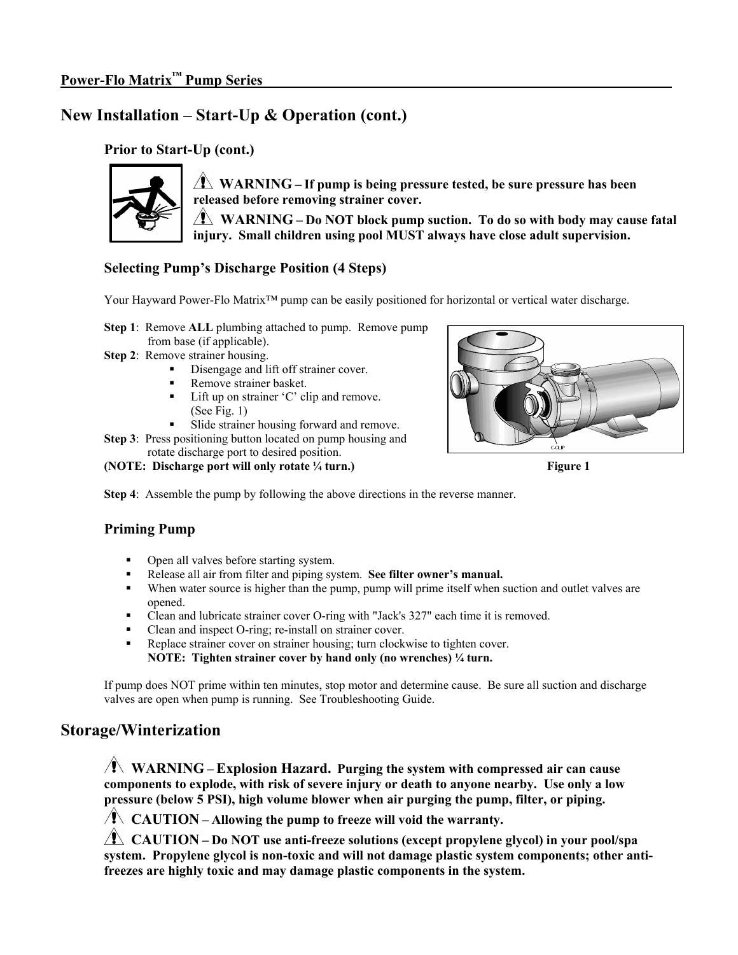## **New Installation – Start-Up & Operation (cont.)**

## **Prior to Start-Up (cont.)**



 **WARNING – If pump is being pressure tested, be sure pressure has been released before removing strainer cover.** 

**WARNING** – Do NOT block pump suction. To do so with body may cause fatal **injury. Small children using pool MUST always have close adult supervision.** 

## **Selecting Pump's Discharge Position (4 Steps)**

Your Hayward Power-Flo Matrix™ pump can be easily positioned for horizontal or vertical water discharge.

- **Step 1:** Remove **ALL** plumbing attached to pump. Remove pump from base (if applicable).
- **Step 2**: Remove strainer housing.
	- Disengage and lift off strainer cover.
	- Remove strainer basket.
	- Lift up on strainer 'C' clip and remove. (See Fig. 1)
	- Slide strainer housing forward and remove.

**Step 3**: Press positioning button located on pump housing and rotate discharge port to desired position.

#### **(NOTE:** Discharge port will only rotate ¼ turn.) Figure 1



**Step 4**: Assemble the pump by following the above directions in the reverse manner.

## **Priming Pump**

- Open all valves before starting system.
- Release all air from filter and piping system. **See filter owner's manual.**
- When water source is higher than the pump, pump will prime itself when suction and outlet valves are opened.
- Clean and lubricate strainer cover O-ring with "Jack's 327" each time it is removed.
- Clean and inspect O-ring; re-install on strainer cover.
- Replace strainer cover on strainer housing; turn clockwise to tighten cover. **NOTE: Tighten strainer cover by hand only (no wrenches) ¼ turn.**

If pump does NOT prime within ten minutes, stop motor and determine cause. Be sure all suction and discharge valves are open when pump is running. See Troubleshooting Guide.

## **Storage/Winterization**

 **WARNING – Explosion Hazard. Purging the system with compressed air can cause components to explode, with risk of severe injury or death to anyone nearby. Use only a low pressure (below 5 PSI), high volume blower when air purging the pump, filter, or piping.** 

**CAUTION – Allowing the pump to freeze will void the warranty.**

 **CAUTION – Do NOT use anti-freeze solutions (except propylene glycol) in your pool/spa system. Propylene glycol is non-toxic and will not damage plastic system components; other antifreezes are highly toxic and may damage plastic components in the system.**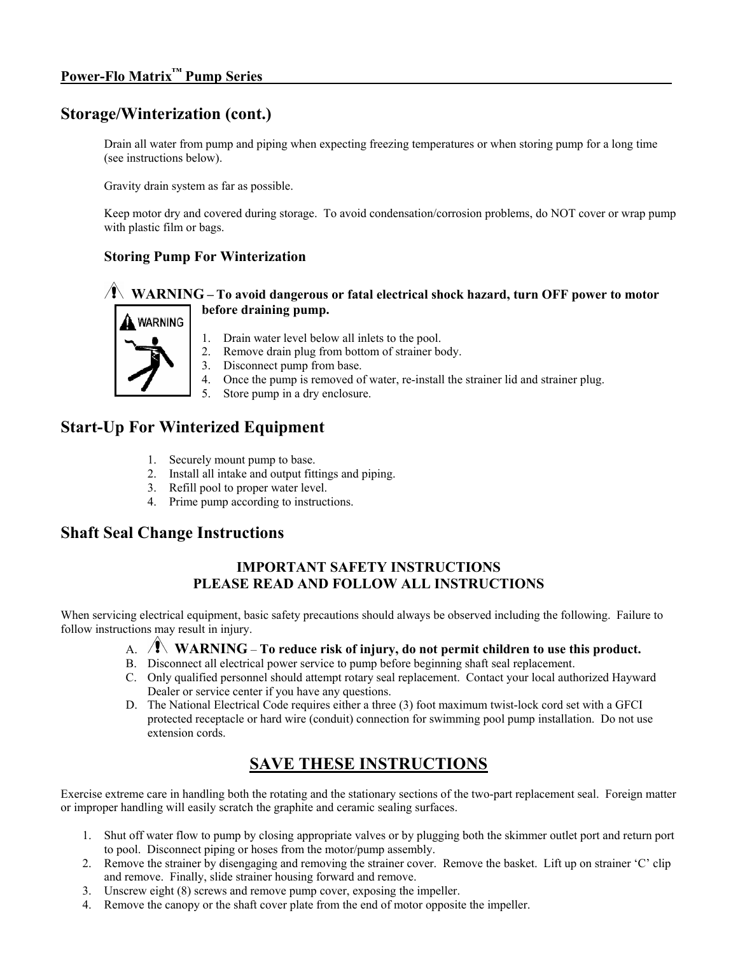## **Storage/Winterization (cont.)**

Drain all water from pump and piping when expecting freezing temperatures or when storing pump for a long time (see instructions below).

Gravity drain system as far as possible.

Keep motor dry and covered during storage. To avoid condensation/corrosion problems, do NOT cover or wrap pump with plastic film or bags.

### **Storing Pump For Winterization**

#### **WARNING – To avoid dangerous or fatal electrical shock hazard, turn OFF power to motor before draining pump.**



- 1. Drain water level below all inlets to the pool.
- 2. Remove drain plug from bottom of strainer body.
- 3. Disconnect pump from base.
- 4. Once the pump is removed of water, re-install the strainer lid and strainer plug.
- 5. Store pump in a dry enclosure.

## **Start-Up For Winterized Equipment**

- 1. Securely mount pump to base.
- 2. Install all intake and output fittings and piping.
- 3. Refill pool to proper water level.
- 4. Prime pump according to instructions.

## **Shaft Seal Change Instructions**

## **IMPORTANT SAFETY INSTRUCTIONS PLEASE READ AND FOLLOW ALL INSTRUCTIONS**

When servicing electrical equipment, basic safety precautions should always be observed including the following. Failure to follow instructions may result in injury.

#### A. **WARNING** – **To reduce risk of injury, do not permit children to use this product.**

- B. Disconnect all electrical power service to pump before beginning shaft seal replacement.
- C. Only qualified personnel should attempt rotary seal replacement. Contact your local authorized Hayward Dealer or service center if you have any questions.
- D. The National Electrical Code requires either a three (3) foot maximum twist-lock cord set with a GFCI protected receptacle or hard wire (conduit) connection for swimming pool pump installation. Do not use extension cords.

## **SAVE THESE INSTRUCTIONS**

Exercise extreme care in handling both the rotating and the stationary sections of the two-part replacement seal. Foreign matter or improper handling will easily scratch the graphite and ceramic sealing surfaces.

- 1. Shut off water flow to pump by closing appropriate valves or by plugging both the skimmer outlet port and return port to pool. Disconnect piping or hoses from the motor/pump assembly.
- 2. Remove the strainer by disengaging and removing the strainer cover. Remove the basket. Lift up on strainer 'C' clip and remove. Finally, slide strainer housing forward and remove.
- 3. Unscrew eight (8) screws and remove pump cover, exposing the impeller.
- 4. Remove the canopy or the shaft cover plate from the end of motor opposite the impeller.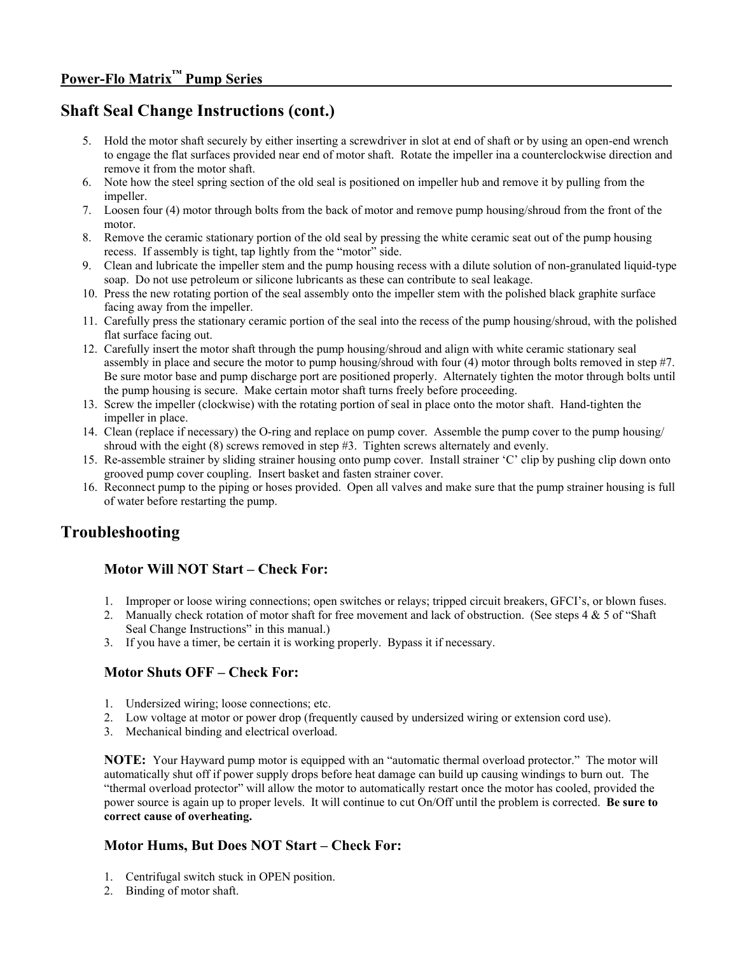## **Shaft Seal Change Instructions (cont.)**

- 5. Hold the motor shaft securely by either inserting a screwdriver in slot at end of shaft or by using an open-end wrench to engage the flat surfaces provided near end of motor shaft. Rotate the impeller ina a counterclockwise direction and remove it from the motor shaft.
- 6. Note how the steel spring section of the old seal is positioned on impeller hub and remove it by pulling from the impeller.
- 7. Loosen four (4) motor through bolts from the back of motor and remove pump housing/shroud from the front of the motor.
- 8. Remove the ceramic stationary portion of the old seal by pressing the white ceramic seat out of the pump housing recess. If assembly is tight, tap lightly from the "motor" side.
- 9. Clean and lubricate the impeller stem and the pump housing recess with a dilute solution of non-granulated liquid-type soap. Do not use petroleum or silicone lubricants as these can contribute to seal leakage.
- 10. Press the new rotating portion of the seal assembly onto the impeller stem with the polished black graphite surface facing away from the impeller.
- 11. Carefully press the stationary ceramic portion of the seal into the recess of the pump housing/shroud, with the polished flat surface facing out.
- 12. Carefully insert the motor shaft through the pump housing/shroud and align with white ceramic stationary seal assembly in place and secure the motor to pump housing/shroud with four (4) motor through bolts removed in step #7. Be sure motor base and pump discharge port are positioned properly. Alternately tighten the motor through bolts until the pump housing is secure. Make certain motor shaft turns freely before proceeding.
- 13. Screw the impeller (clockwise) with the rotating portion of seal in place onto the motor shaft. Hand-tighten the impeller in place.
- 14. Clean (replace if necessary) the O-ring and replace on pump cover. Assemble the pump cover to the pump housing/ shroud with the eight (8) screws removed in step #3. Tighten screws alternately and evenly.
- 15. Re-assemble strainer by sliding strainer housing onto pump cover. Install strainer 'C' clip by pushing clip down onto grooved pump cover coupling. Insert basket and fasten strainer cover.
- 16. Reconnect pump to the piping or hoses provided. Open all valves and make sure that the pump strainer housing is full of water before restarting the pump.

## **Troubleshooting**

## **Motor Will NOT Start – Check For:**

- 1. Improper or loose wiring connections; open switches or relays; tripped circuit breakers, GFCI's, or blown fuses.
- 2. Manually check rotation of motor shaft for free movement and lack of obstruction. (See steps  $4 \& 5$  of "Shaft" Seal Change Instructions" in this manual.)
- 3. If you have a timer, be certain it is working properly. Bypass it if necessary.

#### **Motor Shuts OFF – Check For:**

- 1. Undersized wiring; loose connections; etc.
- 2. Low voltage at motor or power drop (frequently caused by undersized wiring or extension cord use).
- 3. Mechanical binding and electrical overload.

**NOTE:** Your Hayward pump motor is equipped with an "automatic thermal overload protector." The motor will automatically shut off if power supply drops before heat damage can build up causing windings to burn out. The "thermal overload protector" will allow the motor to automatically restart once the motor has cooled, provided the power source is again up to proper levels. It will continue to cut On/Off until the problem is corrected. **Be sure to correct cause of overheating.** 

## **Motor Hums, But Does NOT Start – Check For:**

- 1. Centrifugal switch stuck in OPEN position.
- 2. Binding of motor shaft.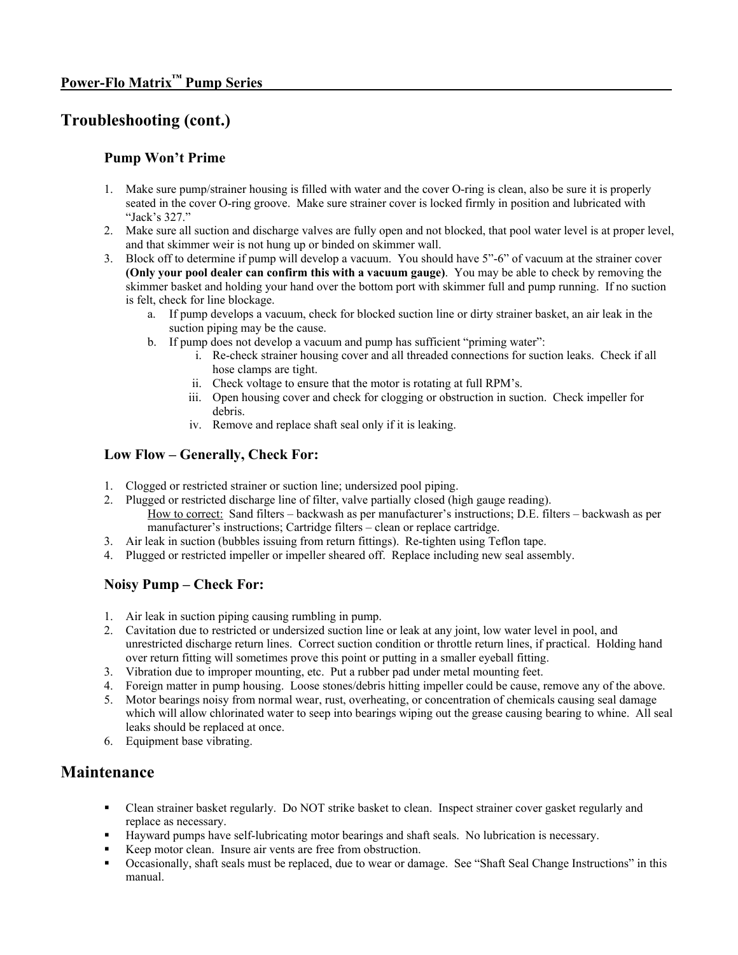## **Troubleshooting (cont.)**

### **Pump Won't Prime**

- 1. Make sure pump/strainer housing is filled with water and the cover O-ring is clean, also be sure it is properly seated in the cover O-ring groove. Make sure strainer cover is locked firmly in position and lubricated with "Jack's 327."
- 2. Make sure all suction and discharge valves are fully open and not blocked, that pool water level is at proper level, and that skimmer weir is not hung up or binded on skimmer wall.
- 3. Block off to determine if pump will develop a vacuum. You should have 5"-6" of vacuum at the strainer cover **(Only your pool dealer can confirm this with a vacuum gauge)**. You may be able to check by removing the skimmer basket and holding your hand over the bottom port with skimmer full and pump running. If no suction is felt, check for line blockage.
	- a. If pump develops a vacuum, check for blocked suction line or dirty strainer basket, an air leak in the suction piping may be the cause.
	- b. If pump does not develop a vacuum and pump has sufficient "priming water":
		- i. Re-check strainer housing cover and all threaded connections for suction leaks. Check if all hose clamps are tight.
		- ii. Check voltage to ensure that the motor is rotating at full RPM's.
		- iii. Open housing cover and check for clogging or obstruction in suction. Check impeller for debris.
		- iv. Remove and replace shaft seal only if it is leaking.

### **Low Flow – Generally, Check For:**

- 1. Clogged or restricted strainer or suction line; undersized pool piping.
- 2. Plugged or restricted discharge line of filter, valve partially closed (high gauge reading). How to correct: Sand filters – backwash as per manufacturer's instructions; D.E. filters – backwash as per manufacturer's instructions; Cartridge filters – clean or replace cartridge.
- 3. Air leak in suction (bubbles issuing from return fittings). Re-tighten using Teflon tape.
- 4. Plugged or restricted impeller or impeller sheared off. Replace including new seal assembly.

## **Noisy Pump – Check For:**

- 1. Air leak in suction piping causing rumbling in pump.
- 2. Cavitation due to restricted or undersized suction line or leak at any joint, low water level in pool, and unrestricted discharge return lines. Correct suction condition or throttle return lines, if practical. Holding hand over return fitting will sometimes prove this point or putting in a smaller eyeball fitting.
- 3. Vibration due to improper mounting, etc. Put a rubber pad under metal mounting feet.
- 4. Foreign matter in pump housing. Loose stones/debris hitting impeller could be cause, remove any of the above.
- 5. Motor bearings noisy from normal wear, rust, overheating, or concentration of chemicals causing seal damage which will allow chlorinated water to seep into bearings wiping out the grease causing bearing to whine. All seal leaks should be replaced at once.
- 6. Equipment base vibrating.

## **Maintenance**

- Clean strainer basket regularly. Do NOT strike basket to clean. Inspect strainer cover gasket regularly and replace as necessary.
- Hayward pumps have self-lubricating motor bearings and shaft seals. No lubrication is necessary.
- Keep motor clean. Insure air vents are free from obstruction.
- Occasionally, shaft seals must be replaced, due to wear or damage. See "Shaft Seal Change Instructions" in this manual.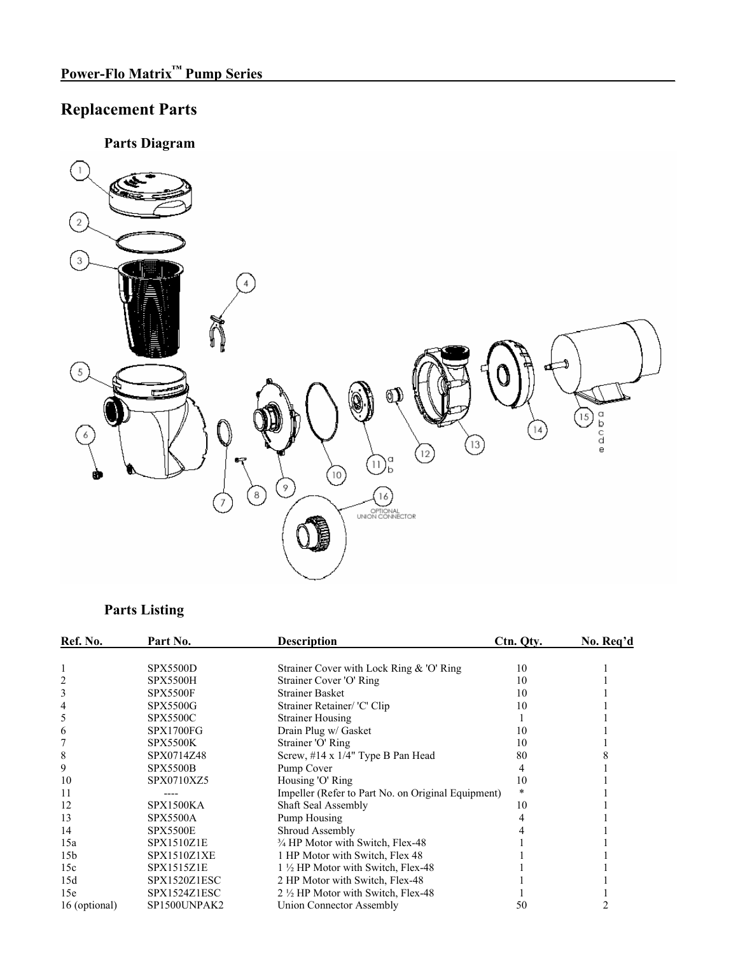## **Replacement Parts**

**Parts Diagram** 



## **Parts Listing**

| Ref. No.        | Part No.           | <b>Description</b>                                          | Ctn. Qty. | No. Req'd |
|-----------------|--------------------|-------------------------------------------------------------|-----------|-----------|
|                 | <b>SPX5500D</b>    | Strainer Cover with Lock Ring $& O'$ Ring                   | 10        |           |
| 2               | <b>SPX5500H</b>    | Strainer Cover 'O' Ring                                     | 10        |           |
| 3               | <b>SPX5500F</b>    | <b>Strainer Basket</b>                                      | 10        |           |
| 4               | <b>SPX5500G</b>    | Strainer Retainer/ 'C' Clip                                 | 10        |           |
| 5               | <b>SPX5500C</b>    | <b>Strainer Housing</b>                                     |           |           |
| 6               | <b>SPX1700FG</b>   | Drain Plug w/ Gasket                                        | 10        |           |
|                 | <b>SPX5500K</b>    | Strainer 'O' Ring                                           | 10        |           |
| 8               | SPX0714Z48         | Screw, $\#14 \times 1/4$ " Type B Pan Head                  | 80        |           |
| 9               | <b>SPX5500B</b>    | Pump Cover                                                  |           |           |
| 10              | SPX0710XZ5         | Housing 'O' Ring                                            | 10        |           |
| 11              |                    | Impeller (Refer to Part No. on Original Equipment)          | *         |           |
| 12              | <b>SPX1500KA</b>   | <b>Shaft Seal Assembly</b>                                  | 10        |           |
| 13              | <b>SPX5500A</b>    | Pump Housing                                                |           |           |
| 14              | <b>SPX5500E</b>    | Shroud Assembly                                             |           |           |
| 15a             | SPX1510Z1E         | <sup>3</sup> / <sub>4</sub> HP Motor with Switch, Flex-48   |           |           |
| 15 <sub>b</sub> | <b>SPX1510Z1XE</b> | 1 HP Motor with Switch, Flex 48                             |           |           |
| 15c             | <b>SPX1515Z1E</b>  | 1 <sup>1</sup> / <sub>2</sub> HP Motor with Switch, Flex-48 |           |           |
| 15d             | SPX1520Z1ESC       | 2 HP Motor with Switch, Flex-48                             |           |           |
| 15e             | SPX1524Z1ESC       | 2 1/2 HP Motor with Switch, Flex-48                         |           |           |
| 16 (optional)   | SP1500UNPAK2       | Union Connector Assembly                                    | 50        |           |